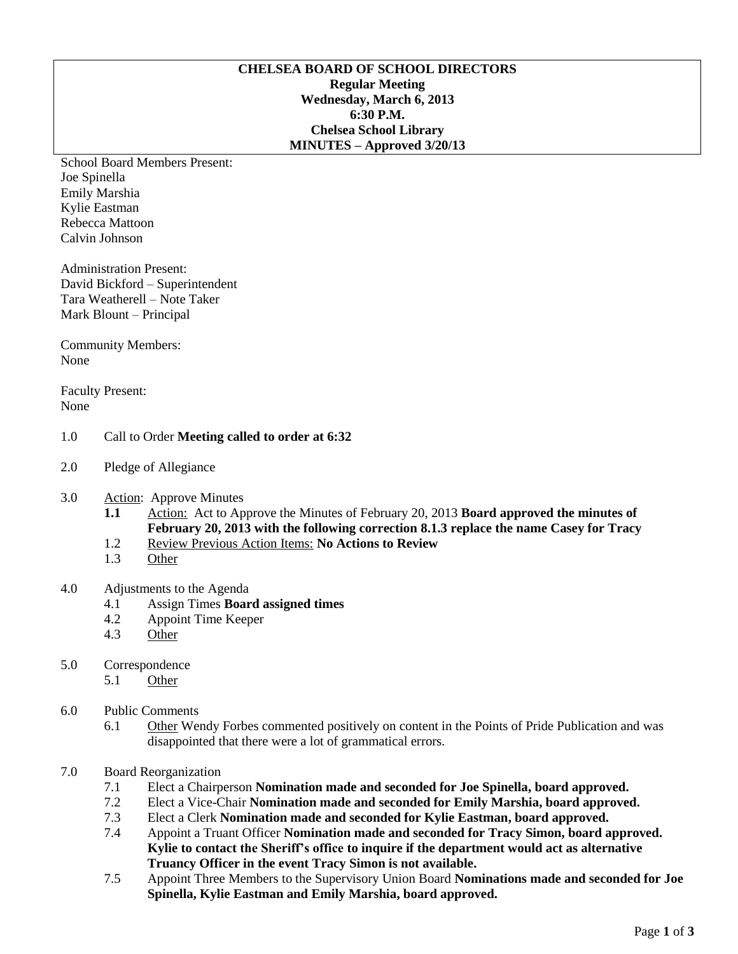## **CHELSEA BOARD OF SCHOOL DIRECTORS Regular Meeting Wednesday, March 6, 2013 6:30 P.M. Chelsea School Library MINUTES – Approved 3/20/13**

School Board Members Present: Joe Spinella Emily Marshia Kylie Eastman Rebecca Mattoon Calvin Johnson

Administration Present: David Bickford – Superintendent Tara Weatherell – Note Taker Mark Blount – Principal

Community Members: None

Faculty Present: None

## 1.0 Call to Order **Meeting called to order at 6:32**

- 2.0 Pledge of Allegiance
- 3.0 Action: Approve Minutes
	- **1.1** Action: Act to Approve the Minutes of February 20, 2013 **Board approved the minutes of February 20, 2013 with the following correction 8.1.3 replace the name Casey for Tracy**
	- 1.2 Review Previous Action Items: **No Actions to Review**
	- 1.3 Other

# 4.0 Adjustments to the Agenda

- 4.1 Assign Times **Board assigned times**
- 4.2 Appoint Time Keeper
- 4.3 Other
- 5.0 Correspondence
	- 5.1 Other
- 6.0 Public Comments
	- 6.1 Other Wendy Forbes commented positively on content in the Points of Pride Publication and was disappointed that there were a lot of grammatical errors.
- 7.0 Board Reorganization
	- 7.1 Elect a Chairperson **Nomination made and seconded for Joe Spinella, board approved.**
	- 7.2 Elect a Vice-Chair **Nomination made and seconded for Emily Marshia, board approved.**
	- 7.3 Elect a Clerk **Nomination made and seconded for Kylie Eastman, board approved.**
	- 7.4 Appoint a Truant Officer **Nomination made and seconded for Tracy Simon, board approved. Kylie to contact the Sheriff's office to inquire if the department would act as alternative Truancy Officer in the event Tracy Simon is not available.**
	- 7.5 Appoint Three Members to the Supervisory Union Board **Nominations made and seconded for Joe Spinella, Kylie Eastman and Emily Marshia, board approved.**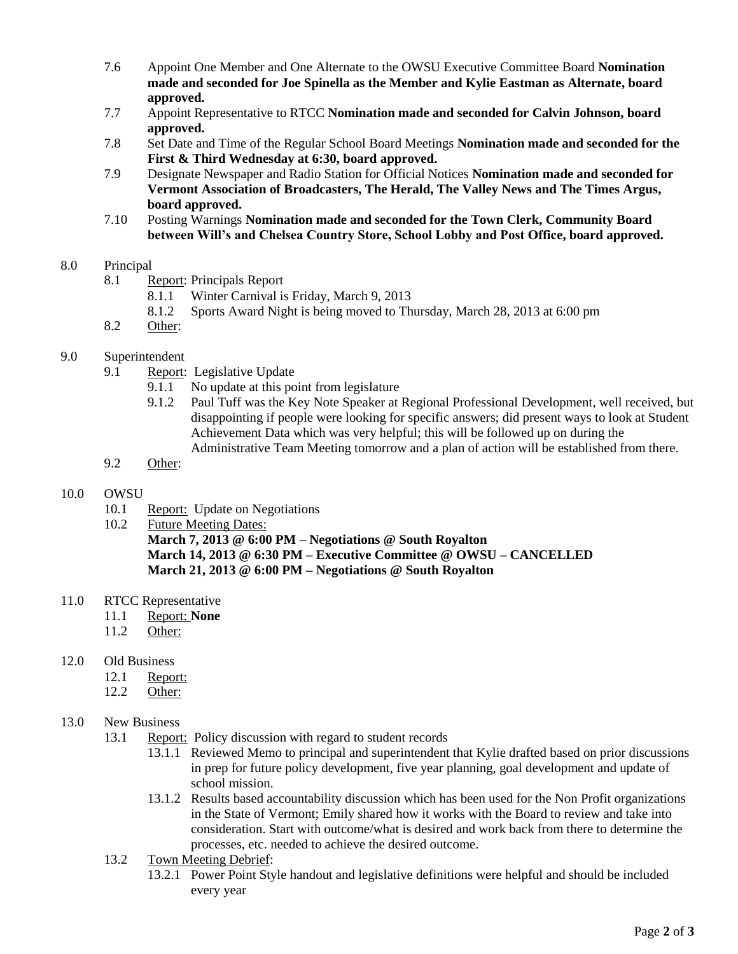- 7.6 Appoint One Member and One Alternate to the OWSU Executive Committee Board **Nomination made and seconded for Joe Spinella as the Member and Kylie Eastman as Alternate, board approved.**
- 7.7 Appoint Representative to RTCC **Nomination made and seconded for Calvin Johnson, board approved.**
- 7.8 Set Date and Time of the Regular School Board Meetings **Nomination made and seconded for the First & Third Wednesday at 6:30, board approved.**
- 7.9 Designate Newspaper and Radio Station for Official Notices **Nomination made and seconded for Vermont Association of Broadcasters, The Herald, The Valley News and The Times Argus, board approved.**
- 7.10 Posting Warnings **Nomination made and seconded for the Town Clerk, Community Board between Will's and Chelsea Country Store, School Lobby and Post Office, board approved.**

## 8.0 Principal

- 8.1 Report: Principals Report
	- 8.1.1 Winter Carnival is Friday, March 9, 2013
	- 8.1.2 Sports Award Night is being moved to Thursday, March 28, 2013 at 6:00 pm
- 8.2 Other:

# 9.0 Superintendent

- 9.1 Report: Legislative Update
	- 9.1.1 No update at this point from legislature
	- 9.1.2 Paul Tuff was the Key Note Speaker at Regional Professional Development, well received, but disappointing if people were looking for specific answers; did present ways to look at Student Achievement Data which was very helpful; this will be followed up on during the Administrative Team Meeting tomorrow and a plan of action will be established from there.
- 9.2 Other:

## 10.0 OWSU

- 10.1 Report: Update on Negotiations
- 10.2 Future Meeting Dates:

**March 7, 2013 @ 6:00 PM – Negotiations @ South Royalton March 14, 2013 @ 6:30 PM – Executive Committee @ OWSU – CANCELLED March 21, 2013 @ 6:00 PM – Negotiations @ South Royalton**

- 11.0 RTCC Representative
	- 11.1 Report: **None**
	- 11.2 Other:
- 12.0 Old Business
	- 12.1 Report:
	- 12.2 Other:

## 13.0 New Business

- 13.1 Report: Policy discussion with regard to student records
	- 13.1.1 Reviewed Memo to principal and superintendent that Kylie drafted based on prior discussions in prep for future policy development, five year planning, goal development and update of school mission.
	- 13.1.2 Results based accountability discussion which has been used for the Non Profit organizations in the State of Vermont; Emily shared how it works with the Board to review and take into consideration. Start with outcome/what is desired and work back from there to determine the processes, etc. needed to achieve the desired outcome.
- 13.2 Town Meeting Debrief:
	- 13.2.1 Power Point Style handout and legislative definitions were helpful and should be included every year